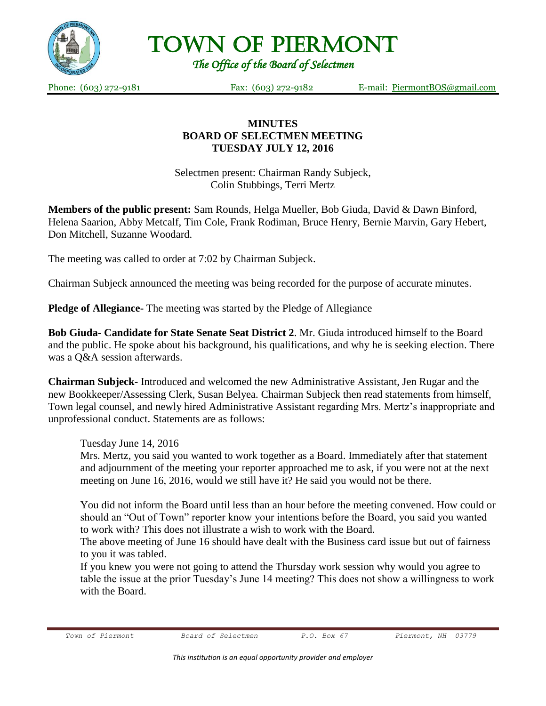

Town of Piermont

*The Office of the Board of Selectmen* 

Phone: (603) 272-9181 Fax: (603) 272-9182 E-mail: <u>[PiermontBOS@gmail.com](mailto:PiermontBOS@gmail.com)</u>

## **MINUTES BOARD OF SELECTMEN MEETING TUESDAY JULY 12, 2016**

Selectmen present: Chairman Randy Subjeck, Colin Stubbings, Terri Mertz

**Members of the public present:** Sam Rounds, Helga Mueller, Bob Giuda, David & Dawn Binford, Helena Saarion, Abby Metcalf, Tim Cole, Frank Rodiman, Bruce Henry, Bernie Marvin, Gary Hebert, Don Mitchell, Suzanne Woodard.

The meeting was called to order at 7:02 by Chairman Subjeck.

Chairman Subjeck announced the meeting was being recorded for the purpose of accurate minutes.

**Pledge of Allegiance-** The meeting was started by the Pledge of Allegiance

**Bob Giuda**- **Candidate for State Senate Seat District 2**. Mr. Giuda introduced himself to the Board and the public. He spoke about his background, his qualifications, and why he is seeking election. There was a Q&A session afterwards.

**Chairman Subjeck-** Introduced and welcomed the new Administrative Assistant, Jen Rugar and the new Bookkeeper/Assessing Clerk, Susan Belyea. Chairman Subjeck then read statements from himself, Town legal counsel, and newly hired Administrative Assistant regarding Mrs. Mertz's inappropriate and unprofessional conduct. Statements are as follows:

Tuesday June 14, 2016

Mrs. Mertz, you said you wanted to work together as a Board. Immediately after that statement and adjournment of the meeting your reporter approached me to ask, if you were not at the next meeting on June 16, 2016, would we still have it? He said you would not be there.

You did not inform the Board until less than an hour before the meeting convened. How could or should an "Out of Town" reporter know your intentions before the Board, you said you wanted to work with? This does not illustrate a wish to work with the Board.

The above meeting of June 16 should have dealt with the Business card issue but out of fairness to you it was tabled.

If you knew you were not going to attend the Thursday work session why would you agree to table the issue at the prior Tuesday's June 14 meeting? This does not show a willingness to work with the Board.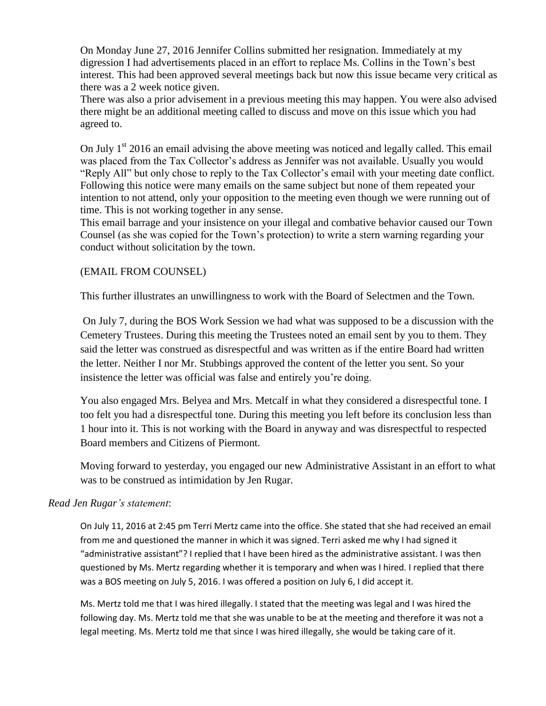On Monday June 27, 2016 Jennifer Collins submitted her resignation. Immediately at my digression I had advertisements placed in an effort to replace Ms. Collins in the Town's best interest. This had been approved several meetings back but now this issue became very critical as there was a 2 week notice given.

There was also a prior advisement in a previous meeting this may happen. You were also advised there might be an additional meeting called to discuss and move on this issue which you had agreed to.

On July  $1<sup>st</sup>$  2016 an email advising the above meeting was noticed and legally called. This email was placed from the Tax Collector's address as Jennifer was not available. Usually you would "Reply All" but only chose to reply to the Tax Collector's email with your meeting date conflict. Following this notice were many emails on the same subject but none of them repeated your intention to not attend, only your opposition to the meeting even though we were running out of time. This is not working together in any sense.

This email barrage and your insistence on your illegal and combative behavior caused our Town Counsel (as she was copied for the Town's protection) to write a stern warning regarding your conduct without solicitation by the town.

### (EMAIL FROM COUNSEL)

This further illustrates an unwillingness to work with the Board of Selectmen and the Town.

On July 7, during the BOS Work Session we had what was supposed to be a discussion with the Cemetery Trustees. During this meeting the Trustees noted an email sent by you to them. They said the letter was construed as disrespectful and was written as if the entire Board had written the letter. Neither I nor Mr. Stubbings approved the content of the letter you sent. So your insistence the letter was official was false and entirely you're doing.

You also engaged Mrs. Belyea and Mrs. Metcalf in what they considered a disrespectful tone. I too felt you had a disrespectful tone. During this meeting you left before its conclusion less than 1 hour into it. This is not working with the Board in anyway and was disrespectful to respected Board members and Citizens of Piermont.

Moving forward to yesterday, you engaged our new Administrative Assistant in an effort to what was to be construed as intimidation by Jen Rugar.

#### *Read Jen Rugar's statement*:

On July 11, 2016 at 2:45 pm Terri Mertz came into the office. She stated that she had received an email from me and questioned the manner in which it was signed. Terri asked me why I had signed it "administrative assistant"? I replied that I have been hired as the administrative assistant. I was then questioned by Ms. Mertz regarding whether it is temporary and when was I hired. I replied that there was a BOS meeting on July 5, 2016. I was offered a position on July 6, I did accept it.

Ms. Mertz told me that I was hired illegally. I stated that the meeting was legal and I was hired the following day. Ms. Mertz told me that she was unable to be at the meeting and therefore it was not a legal meeting. Ms. Mertz told me that since I was hired illegally, she would be taking care of it.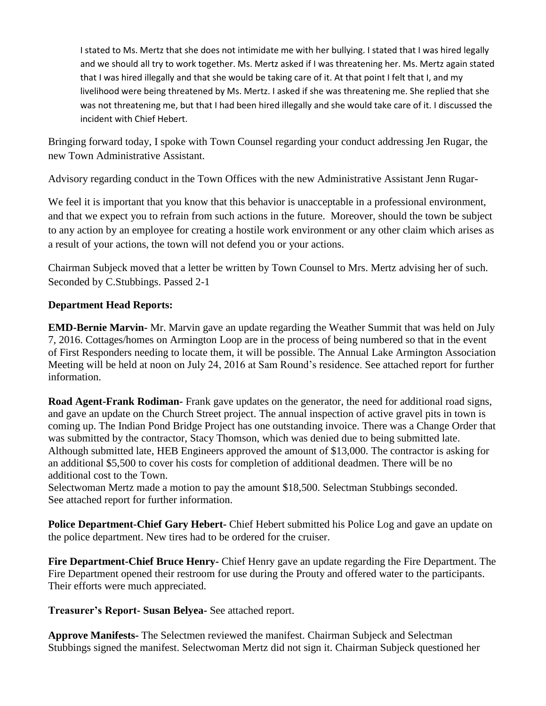I stated to Ms. Mertz that she does not intimidate me with her bullying. I stated that I was hired legally and we should all try to work together. Ms. Mertz asked if I was threatening her. Ms. Mertz again stated that I was hired illegally and that she would be taking care of it. At that point I felt that I, and my livelihood were being threatened by Ms. Mertz. I asked if she was threatening me. She replied that she was not threatening me, but that I had been hired illegally and she would take care of it. I discussed the incident with Chief Hebert.

Bringing forward today, I spoke with Town Counsel regarding your conduct addressing Jen Rugar, the new Town Administrative Assistant.

Advisory regarding conduct in the Town Offices with the new Administrative Assistant Jenn Rugar-

We feel it is important that you know that this behavior is unacceptable in a professional environment, and that we expect you to refrain from such actions in the future. Moreover, should the town be subject to any action by an employee for creating a hostile work environment or any other claim which arises as a result of your actions, the town will not defend you or your actions.

Chairman Subjeck moved that a letter be written by Town Counsel to Mrs. Mertz advising her of such. Seconded by C.Stubbings. Passed 2-1

# **Department Head Reports:**

**EMD-Bernie Marvin-** Mr. Marvin gave an update regarding the Weather Summit that was held on July 7, 2016. Cottages/homes on Armington Loop are in the process of being numbered so that in the event of First Responders needing to locate them, it will be possible. The Annual Lake Armington Association Meeting will be held at noon on July 24, 2016 at Sam Round's residence. See attached report for further information.

**Road Agent-Frank Rodiman-** Frank gave updates on the generator, the need for additional road signs, and gave an update on the Church Street project. The annual inspection of active gravel pits in town is coming up. The Indian Pond Bridge Project has one outstanding invoice. There was a Change Order that was submitted by the contractor, Stacy Thomson, which was denied due to being submitted late. Although submitted late, HEB Engineers approved the amount of \$13,000. The contractor is asking for an additional \$5,500 to cover his costs for completion of additional deadmen. There will be no additional cost to the Town.

Selectwoman Mertz made a motion to pay the amount \$18,500. Selectman Stubbings seconded. See attached report for further information.

**Police Department-Chief Gary Hebert-** Chief Hebert submitted his Police Log and gave an update on the police department. New tires had to be ordered for the cruiser.

**Fire Department-Chief Bruce Henry-** Chief Henry gave an update regarding the Fire Department. The Fire Department opened their restroom for use during the Prouty and offered water to the participants. Their efforts were much appreciated.

**Treasurer's Report- Susan Belyea-** See attached report.

**Approve Manifests-** The Selectmen reviewed the manifest. Chairman Subjeck and Selectman Stubbings signed the manifest. Selectwoman Mertz did not sign it. Chairman Subjeck questioned her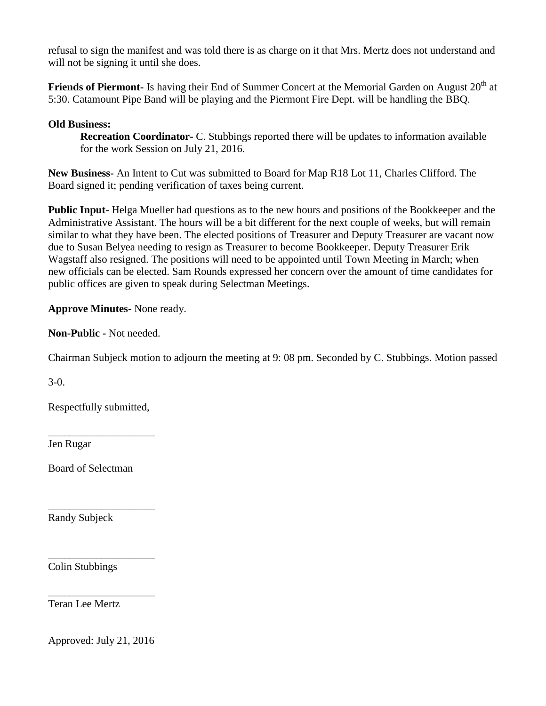refusal to sign the manifest and was told there is as charge on it that Mrs. Mertz does not understand and will not be signing it until she does.

**Friends of Piermont-** Is having their End of Summer Concert at the Memorial Garden on August 20<sup>th</sup> at 5:30. Catamount Pipe Band will be playing and the Piermont Fire Dept. will be handling the BBQ.

### **Old Business:**

**Recreation Coordinator-** C. Stubbings reported there will be updates to information available for the work Session on July 21, 2016.

**New Business-** An Intent to Cut was submitted to Board for Map R18 Lot 11, Charles Clifford. The Board signed it; pending verification of taxes being current.

**Public Input-** Helga Mueller had questions as to the new hours and positions of the Bookkeeper and the Administrative Assistant. The hours will be a bit different for the next couple of weeks, but will remain similar to what they have been. The elected positions of Treasurer and Deputy Treasurer are vacant now due to Susan Belyea needing to resign as Treasurer to become Bookkeeper. Deputy Treasurer Erik Wagstaff also resigned. The positions will need to be appointed until Town Meeting in March; when new officials can be elected. Sam Rounds expressed her concern over the amount of time candidates for public offices are given to speak during Selectman Meetings.

**Approve Minutes-** None ready.

**Non-Public -** Not needed.

Chairman Subjeck motion to adjourn the meeting at 9: 08 pm. Seconded by C. Stubbings. Motion passed

3-0.

Respectfully submitted,

\_\_\_\_\_\_\_\_\_\_\_\_\_\_\_\_\_\_\_\_

\_\_\_\_\_\_\_\_\_\_\_\_\_\_\_\_\_\_\_\_

\_\_\_\_\_\_\_\_\_\_\_\_\_\_\_\_\_\_\_\_

\_\_\_\_\_\_\_\_\_\_\_\_\_\_\_\_\_\_\_\_

Jen Rugar

Board of Selectman

Randy Subjeck

Colin Stubbings

Teran Lee Mertz

Approved: July 21, 2016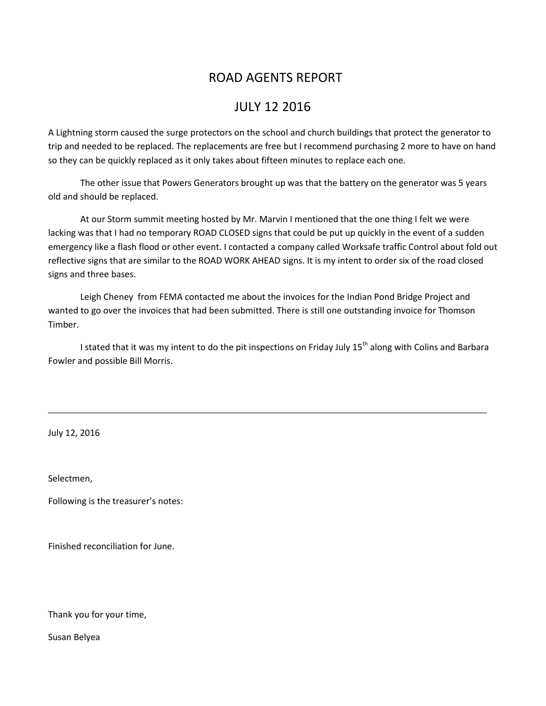# ROAD AGENTS REPORT

# JULY 12 2016

A Lightning storm caused the surge protectors on the school and church buildings that protect the generator to trip and needed to be replaced. The replacements are free but I recommend purchasing 2 more to have on hand so they can be quickly replaced as it only takes about fifteen minutes to replace each one.

The other issue that Powers Generators brought up was that the battery on the generator was 5 years old and should be replaced.

At our Storm summit meeting hosted by Mr. Marvin I mentioned that the one thing I felt we were lacking was that I had no temporary ROAD CLOSED signs that could be put up quickly in the event of a sudden emergency like a flash flood or other event. I contacted a company called Worksafe traffic Control about fold out reflective signs that are similar to the ROAD WORK AHEAD signs. It is my intent to order six of the road closed signs and three bases.

Leigh Cheney from FEMA contacted me about the invoices for the Indian Pond Bridge Project and wanted to go over the invoices that had been submitted. There is still one outstanding invoice for Thomson Timber.

I stated that it was my intent to do the pit inspections on Friday July 15<sup>th</sup> along with Colins and Barbara Fowler and possible Bill Morris.

\_\_\_\_\_\_\_\_\_\_\_\_\_\_\_\_\_\_\_\_\_\_\_\_\_\_\_\_\_\_\_\_\_\_\_\_\_\_\_\_\_\_\_\_\_\_\_\_\_\_\_\_\_\_\_\_\_\_\_\_\_\_\_\_\_\_\_\_\_\_\_\_\_\_\_\_\_\_\_\_\_\_

July 12, 2016

Selectmen,

Following is the treasurer's notes:

Finished reconciliation for June.

Thank you for your time,

Susan Belyea